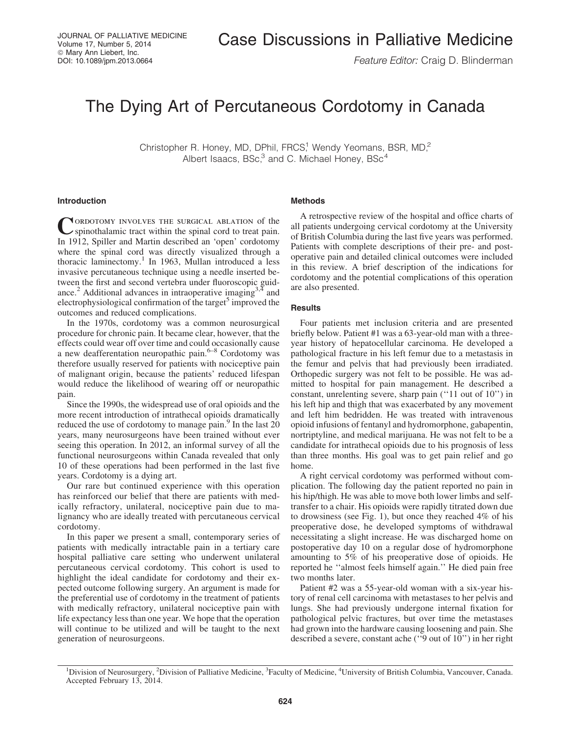## Case Discussions in Palliative Medicine

Feature Editor: Craig D. Blinderman

# The Dying Art of Percutaneous Cordotomy in Canada

Christopher R. Honey, MD, DPhil, FRCS,<sup>1</sup> Wendy Yeomans, BSR, MD, $^2$ Albert Isaacs,  $BSc<sup>3</sup>$  and C. Michael Honey,  $BSc<sup>4</sup>$ 

## Introduction

CORDOTOMY INVOLVES THE SURGICAL ABLATION of the spinothalamic tract within the spinal cord to treat pain. In 1912, Spiller and Martin described an 'open' cordotomy where the spinal cord was directly visualized through a thoracic laminectomy.<sup>1</sup> In 1963, Mullan introduced a less invasive percutaneous technique using a needle inserted between the first and second vertebra under fluoroscopic guidance.<sup>2</sup> Additional advances in intraoperative imaging<sup>3,4</sup> and electrophysiological confirmation of the target<sup>5</sup> improved the outcomes and reduced complications.

In the 1970s, cordotomy was a common neurosurgical procedure for chronic pain. It became clear, however, that the effects could wear off over time and could occasionally cause a new deafferentation neuropathic pain. $6-8$  Cordotomy was therefore usually reserved for patients with nociceptive pain of malignant origin, because the patients' reduced lifespan would reduce the likelihood of wearing off or neuropathic pain.

Since the 1990s, the widespread use of oral opioids and the more recent introduction of intrathecal opioids dramatically reduced the use of cordotomy to manage pain.<sup>9</sup> In the last 20 years, many neurosurgeons have been trained without ever seeing this operation. In 2012, an informal survey of all the functional neurosurgeons within Canada revealed that only 10 of these operations had been performed in the last five years. Cordotomy is a dying art.

Our rare but continued experience with this operation has reinforced our belief that there are patients with medically refractory, unilateral, nociceptive pain due to malignancy who are ideally treated with percutaneous cervical cordotomy.

In this paper we present a small, contemporary series of patients with medically intractable pain in a tertiary care hospital palliative care setting who underwent unilateral percutaneous cervical cordotomy. This cohort is used to highlight the ideal candidate for cordotomy and their expected outcome following surgery. An argument is made for the preferential use of cordotomy in the treatment of patients with medically refractory, unilateral nociceptive pain with life expectancy less than one year. We hope that the operation will continue to be utilized and will be taught to the next generation of neurosurgeons.

## Methods

A retrospective review of the hospital and office charts of all patients undergoing cervical cordotomy at the University of British Columbia during the last five years was performed. Patients with complete descriptions of their pre- and postoperative pain and detailed clinical outcomes were included in this review. A brief description of the indications for cordotomy and the potential complications of this operation are also presented.

## **Results**

Four patients met inclusion criteria and are presented briefly below. Patient #1 was a 63-year-old man with a threeyear history of hepatocellular carcinoma. He developed a pathological fracture in his left femur due to a metastasis in the femur and pelvis that had previously been irradiated. Orthopedic surgery was not felt to be possible. He was admitted to hospital for pain management. He described a constant, unrelenting severe, sharp pain (''11 out of 10'') in his left hip and thigh that was exacerbated by any movement and left him bedridden. He was treated with intravenous opioid infusions of fentanyl and hydromorphone, gabapentin, nortriptyline, and medical marijuana. He was not felt to be a candidate for intrathecal opioids due to his prognosis of less than three months. His goal was to get pain relief and go home.

A right cervical cordotomy was performed without complication. The following day the patient reported no pain in his hip/thigh. He was able to move both lower limbs and selftransfer to a chair. His opioids were rapidly titrated down due to drowsiness (see Fig. 1), but once they reached 4% of his preoperative dose, he developed symptoms of withdrawal necessitating a slight increase. He was discharged home on postoperative day 10 on a regular dose of hydromorphone amounting to 5% of his preoperative dose of opioids. He reported he ''almost feels himself again.'' He died pain free two months later.

Patient #2 was a 55-year-old woman with a six-year history of renal cell carcinoma with metastases to her pelvis and lungs. She had previously undergone internal fixation for pathological pelvic fractures, but over time the metastases had grown into the hardware causing loosening and pain. She described a severe, constant ache (''9 out of 10'') in her right

<sup>&</sup>lt;sup>1</sup>Division of Neurosurgery, <sup>2</sup>Division of Palliative Medicine, <sup>3</sup>Faculty of Medicine, <sup>4</sup>University of British Columbia, Vancouver, Canada. Accepted February 13, 2014.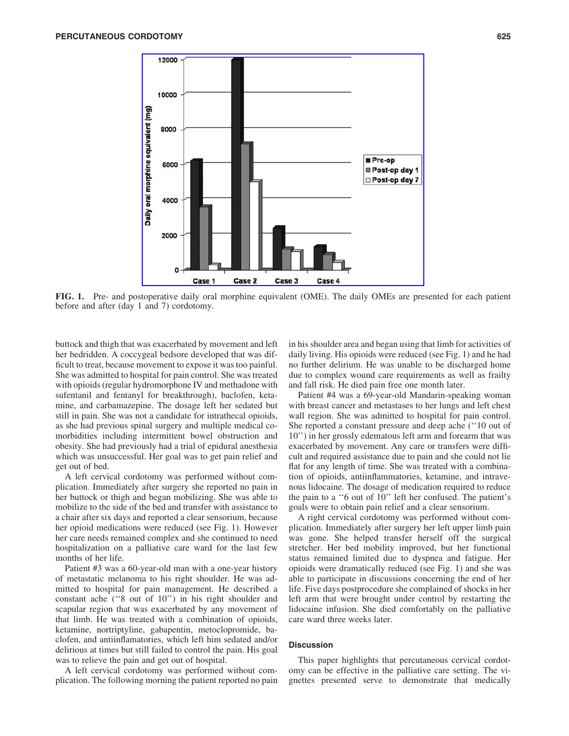

FIG. 1. Pre- and postoperative daily oral morphine equivalent (OME). The daily OMEs are presented for each patient before and after (day 1 and 7) cordotomy.

buttock and thigh that was exacerbated by movement and left her bedridden. A coccygeal bedsore developed that was difficult to treat, because movement to expose it was too painful. She was admitted to hospital for pain control. She was treated with opioids (regular hydromorphone IV and methadone with sufentanil and fentanyl for breakthrough), baclofen, ketamine, and carbamazepine. The dosage left her sedated but still in pain. She was not a candidate for intrathecal opioids, as she had previous spinal surgery and multiple medical comorbidities including intermittent bowel obstruction and obesity. She had previously had a trial of epidural anesthesia which was unsuccessful. Her goal was to get pain relief and get out of bed.

A left cervical cordotomy was performed without complication. Immediately after surgery she reported no pain in her buttock or thigh and began mobilizing. She was able to mobilize to the side of the bed and transfer with assistance to a chair after six days and reported a clear sensorium, because her opioid medications were reduced (see Fig. 1). However her care needs remained complex and she continued to need hospitalization on a palliative care ward for the last few months of her life.

Patient #3 was a 60-year-old man with a one-year history of metastatic melanoma to his right shoulder. He was admitted to hospital for pain management. He described a constant ache (''8 out of 10'') in his right shoulder and scapular region that was exacerbated by any movement of that limb. He was treated with a combination of opioids, ketamine, nortriptyline, gabapentin, metoclopromide, baclofen, and antiinflamatories, which left him sedated and/or delirious at times but still failed to control the pain. His goal was to relieve the pain and get out of hospital.

A left cervical cordotomy was performed without complication. The following morning the patient reported no pain in his shoulder area and began using that limb for activities of daily living. His opioids were reduced (see Fig. 1) and he had no further delirium. He was unable to be discharged home due to complex wound care requirements as well as frailty and fall risk. He died pain free one month later.

Patient #4 was a 69-year-old Mandarin-speaking woman with breast cancer and metastases to her lungs and left chest wall region. She was admitted to hospital for pain control. She reported a constant pressure and deep ache (''10 out of 10'') in her grossly edematous left arm and forearm that was exacerbated by movement. Any care or transfers were difficult and required assistance due to pain and she could not lie flat for any length of time. She was treated with a combination of opioids, antiinflammatories, ketamine, and intravenous lidocaine. The dosage of medication required to reduce the pain to a ''6 out of 10'' left her confused. The patient's goals were to obtain pain relief and a clear sensorium.

A right cervical cordotomy was performed without complication. Immediately after surgery her left upper limb pain was gone. She helped transfer herself off the surgical stretcher. Her bed mobility improved, but her functional status remained limited due to dyspnea and fatigue. Her opioids were dramatically reduced (see Fig. 1) and she was able to participate in discussions concerning the end of her life. Five days postprocedure she complained of shocks in her left arm that were brought under control by restarting the lidocaine infusion. She died comfortably on the palliative care ward three weeks later.

## **Discussion**

This paper highlights that percutaneous cervical cordotomy can be effective in the palliative care setting. The vignettes presented serve to demonstrate that medically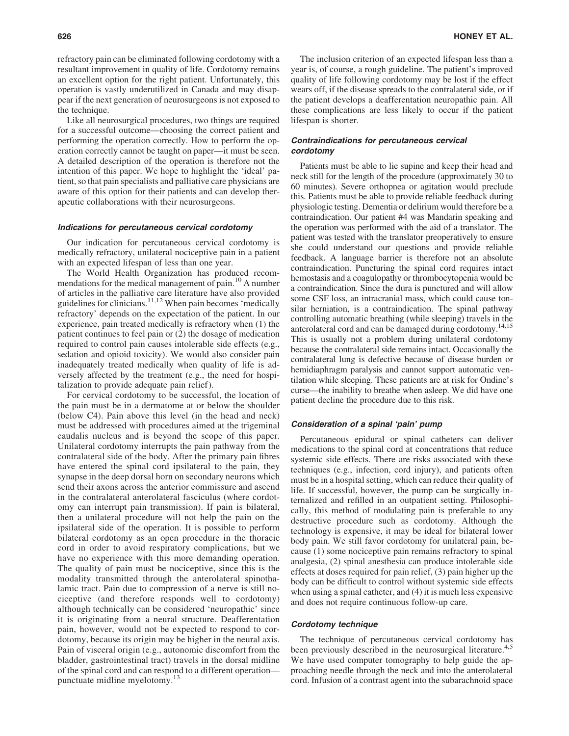refractory pain can be eliminated following cordotomy with a resultant improvement in quality of life. Cordotomy remains an excellent option for the right patient. Unfortunately, this operation is vastly underutilized in Canada and may disappear if the next generation of neurosurgeons is not exposed to the technique.

Like all neurosurgical procedures, two things are required for a successful outcome—choosing the correct patient and performing the operation correctly. How to perform the operation correctly cannot be taught on paper—it must be seen. A detailed description of the operation is therefore not the intention of this paper. We hope to highlight the 'ideal' patient, so that pain specialists and palliative care physicians are aware of this option for their patients and can develop therapeutic collaborations with their neurosurgeons.

#### Indications for percutaneous cervical cordotomy

Our indication for percutaneous cervical cordotomy is medically refractory, unilateral nociceptive pain in a patient with an expected lifespan of less than one year.

The World Health Organization has produced recommendations for the medical management of pain.<sup>10</sup> A number of articles in the palliative care literature have also provided guidelines for clinicians.<sup>11,12</sup> When pain becomes 'medically refractory' depends on the expectation of the patient. In our experience, pain treated medically is refractory when (1) the patient continues to feel pain or (2) the dosage of medication required to control pain causes intolerable side effects (e.g., sedation and opioid toxicity). We would also consider pain inadequately treated medically when quality of life is adversely affected by the treatment (e.g., the need for hospitalization to provide adequate pain relief).

For cervical cordotomy to be successful, the location of the pain must be in a dermatome at or below the shoulder (below C4). Pain above this level (in the head and neck) must be addressed with procedures aimed at the trigeminal caudalis nucleus and is beyond the scope of this paper. Unilateral cordotomy interrupts the pain pathway from the contralateral side of the body. After the primary pain fibres have entered the spinal cord ipsilateral to the pain, they synapse in the deep dorsal horn on secondary neurons which send their axons across the anterior commissure and ascend in the contralateral anterolateral fasciculus (where cordotomy can interrupt pain transmission). If pain is bilateral, then a unilateral procedure will not help the pain on the ipsilateral side of the operation. It is possible to perform bilateral cordotomy as an open procedure in the thoracic cord in order to avoid respiratory complications, but we have no experience with this more demanding operation. The quality of pain must be nociceptive, since this is the modality transmitted through the anterolateral spinothalamic tract. Pain due to compression of a nerve is still nociceptive (and therefore responds well to cordotomy) although technically can be considered 'neuropathic' since it is originating from a neural structure. Deafferentation pain, however, would not be expected to respond to cordotomy, because its origin may be higher in the neural axis. Pain of visceral origin (e.g., autonomic discomfort from the bladder, gastrointestinal tract) travels in the dorsal midline of the spinal cord and can respond to a different operation punctuate midline myelotomy.<sup>13</sup>

The inclusion criterion of an expected lifespan less than a year is, of course, a rough guideline. The patient's improved quality of life following cordotomy may be lost if the effect wears off, if the disease spreads to the contralateral side, or if the patient develops a deafferentation neuropathic pain. All these complications are less likely to occur if the patient lifespan is shorter.

## Contraindications for percutaneous cervical cordotomy

Patients must be able to lie supine and keep their head and neck still for the length of the procedure (approximately 30 to 60 minutes). Severe orthopnea or agitation would preclude this. Patients must be able to provide reliable feedback during physiologic testing. Dementia or delirium would therefore be a contraindication. Our patient #4 was Mandarin speaking and the operation was performed with the aid of a translator. The patient was tested with the translator preoperatively to ensure she could understand our questions and provide reliable feedback. A language barrier is therefore not an absolute contraindication. Puncturing the spinal cord requires intact hemostasis and a coagulopathy or thrombocytopenia would be a contraindication. Since the dura is punctured and will allow some CSF loss, an intracranial mass, which could cause tonsilar herniation, is a contraindication. The spinal pathway controlling automatic breathing (while sleeping) travels in the anterolateral cord and can be damaged during cordotomy.14,15 This is usually not a problem during unilateral cordotomy because the contralateral side remains intact. Occasionally the contralateral lung is defective because of disease burden or hemidiaphragm paralysis and cannot support automatic ventilation while sleeping. These patients are at risk for Ondine's curse—the inability to breathe when asleep. We did have one patient decline the procedure due to this risk.

## Consideration of a spinal 'pain' pump

Percutaneous epidural or spinal catheters can deliver medications to the spinal cord at concentrations that reduce systemic side effects. There are risks associated with these techniques (e.g., infection, cord injury), and patients often must be in a hospital setting, which can reduce their quality of life. If successful, however, the pump can be surgically internalized and refilled in an outpatient setting. Philosophically, this method of modulating pain is preferable to any destructive procedure such as cordotomy. Although the technology is expensive, it may be ideal for bilateral lower body pain. We still favor cordotomy for unilateral pain, because (1) some nociceptive pain remains refractory to spinal analgesia, (2) spinal anesthesia can produce intolerable side effects at doses required for pain relief, (3) pain higher up the body can be difficult to control without systemic side effects when using a spinal catheter, and (4) it is much less expensive and does not require continuous follow-up care.

### Cordotomy technique

The technique of percutaneous cervical cordotomy has been previously described in the neurosurgical literature.<sup>4,5</sup> We have used computer tomography to help guide the approaching needle through the neck and into the anterolateral cord. Infusion of a contrast agent into the subarachnoid space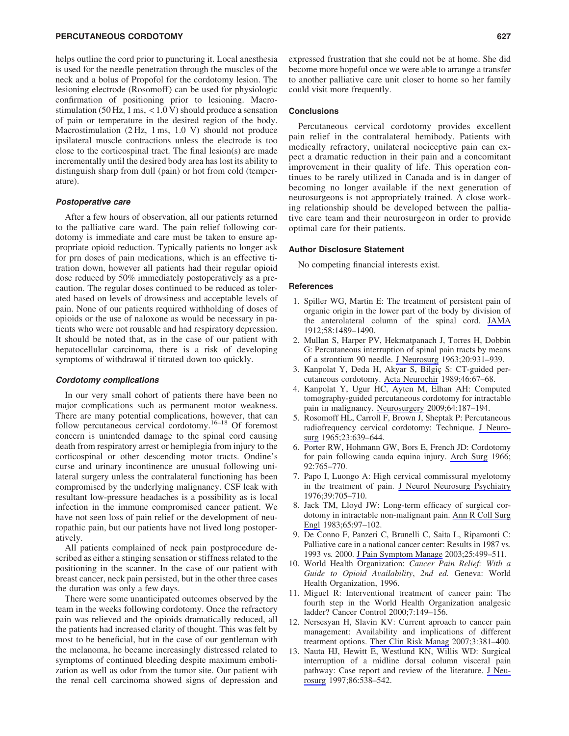## PERCUTANEOUS CORDOTOMY **627**

helps outline the cord prior to puncturing it. Local anesthesia is used for the needle penetration through the muscles of the neck and a bolus of Propofol for the cordotomy lesion. The lesioning electrode (Rosomoff) can be used for physiologic confirmation of positioning prior to lesioning. Macrostimulation (50 Hz, 1 ms, < 1.0 V) should produce a sensation of pain or temperature in the desired region of the body. Macrostimulation (2 Hz, 1 ms, 1.0 V) should not produce ipsilateral muscle contractions unless the electrode is too close to the corticospinal tract. The final lesion(s) are made incrementally until the desired body area has lost its ability to distinguish sharp from dull (pain) or hot from cold (temperature).

## Postoperative care

After a few hours of observation, all our patients returned to the palliative care ward. The pain relief following cordotomy is immediate and care must be taken to ensure appropriate opioid reduction. Typically patients no longer ask for prn doses of pain medications, which is an effective titration down, however all patients had their regular opioid dose reduced by 50% immediately postoperatively as a precaution. The regular doses continued to be reduced as tolerated based on levels of drowsiness and acceptable levels of pain. None of our patients required withholding of doses of opioids or the use of naloxone as would be necessary in patients who were not rousable and had respiratory depression. It should be noted that, as in the case of our patient with hepatocellular carcinoma, there is a risk of developing symptoms of withdrawal if titrated down too quickly.

#### Cordotomy complications

In our very small cohort of patients there have been no major complications such as permanent motor weakness. There are many potential complications, however, that can follow percutaneous cervical cordotomy.16–18 Of foremost concern is unintended damage to the spinal cord causing death from respiratory arrest or hemiplegia from injury to the corticospinal or other descending motor tracts. Ondine's curse and urinary incontinence are unusual following unilateral surgery unless the contralateral functioning has been compromised by the underlying malignancy. CSF leak with resultant low-pressure headaches is a possibility as is local infection in the immune compromised cancer patient. We have not seen loss of pain relief or the development of neuropathic pain, but our patients have not lived long postoperatively.

All patients complained of neck pain postprocedure described as either a stinging sensation or stiffness related to the positioning in the scanner. In the case of our patient with breast cancer, neck pain persisted, but in the other three cases the duration was only a few days.

There were some unanticipated outcomes observed by the team in the weeks following cordotomy. Once the refractory pain was relieved and the opioids dramatically reduced, all the patients had increased clarity of thought. This was felt by most to be beneficial, but in the case of our gentleman with the melanoma, he became increasingly distressed related to symptoms of continued bleeding despite maximum embolization as well as odor from the tumor site. Our patient with the renal cell carcinoma showed signs of depression and

#### **Conclusions**

could visit more frequently.

Percutaneous cervical cordotomy provides excellent pain relief in the contralateral hemibody. Patients with medically refractory, unilateral nociceptive pain can expect a dramatic reduction in their pain and a concomitant improvement in their quality of life. This operation continues to be rarely utilized in Canada and is in danger of becoming no longer available if the next generation of neurosurgeons is not appropriately trained. A close working relationship should be developed between the palliative care team and their neurosurgeon in order to provide optimal care for their patients.

#### Author Disclosure Statement

No competing financial interests exist.

### **References**

- 1. Spiller WG, Martin E: The treatment of persistent pain of organic origin in the lower part of the body by division of the anterolateral column of the spinal cord. JAMA 1912;58:1489–1490.
- 2. Mullan S, Harper PV, Hekmatpanach J, Torres H, Dobbin G: Percutaneous interruption of spinal pain tracts by means of a strontium 90 needle. J Neurosurg 1963;20:931–939.
- 3. Kanpolat Y, Deda H, Akyar S, Bilgic S: CT-guided percutaneous cordotomy. Acta Neurochir 1989;46:67–68.
- 4. Kanpolat Y, Ugur HC, Ayten M, Elhan AH: Computed tomography-guided percutaneous cordotomy for intractable pain in malignancy. Neurosurgery 2009;64:187–194.
- 5. Rosomoff HL, Carroll F, Brown J, Sheptak P: Percutaneous radiofrequency cervical cordotomy: Technique. J Neurosurg 1965;23:639–644.
- 6. Porter RW, Hohmann GW, Bors E, French JD: Cordotomy for pain following cauda equina injury. Arch Surg 1966; 92:765–770.
- 7. Papo I, Luongo A: High cervical commissural myelotomy in the treatment of pain. J Neurol Neurosurg Psychiatry 1976;39:705–710.
- 8. Jack TM, Lloyd JW: Long-term efficacy of surgical cordotomy in intractable non-malignant pain. Ann R Coll Surg Engl 1983;65:97–102.
- 9. De Conno F, Panzeri C, Brunelli C, Saita L, Ripamonti C: Palliative care in a national cancer center: Results in 1987 vs. 1993 vs. 2000. J Pain Symptom Manage 2003;25:499–511.
- 10. World Health Organization: *Cancer Pain Relief: With a Guide to Opioid Availability*, *2nd ed.* Geneva: World Health Organization, 1996.
- 11. Miguel R: Interventional treatment of cancer pain: The fourth step in the World Health Organization analgesic ladder? Cancer Control 2000;7:149–156.
- 12. Nersesyan H, Slavin KV: Current aproach to cancer pain management: Availability and implications of different treatment options. Ther Clin Risk Manag 2007;3:381–400.
- 13. Nauta HJ, Hewitt E, Westlund KN, Willis WD: Surgical interruption of a midline dorsal column visceral pain pathway: Case report and review of the literature. J Neurosurg 1997;86:538–542.